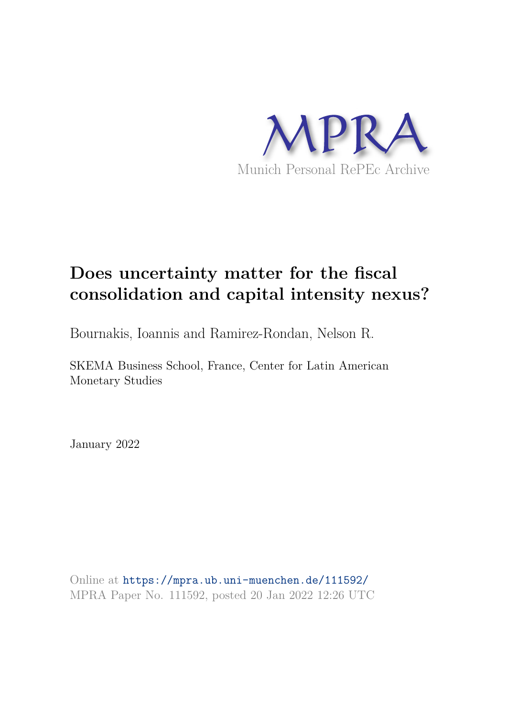

# **Does uncertainty matter for the fiscal consolidation and capital intensity nexus?**

Bournakis, Ioannis and Ramirez-Rondan, Nelson R.

SKEMA Business School, France, Center for Latin American Monetary Studies

January 2022

Online at https://mpra.ub.uni-muenchen.de/111592/ MPRA Paper No. 111592, posted 20 Jan 2022 12:26 UTC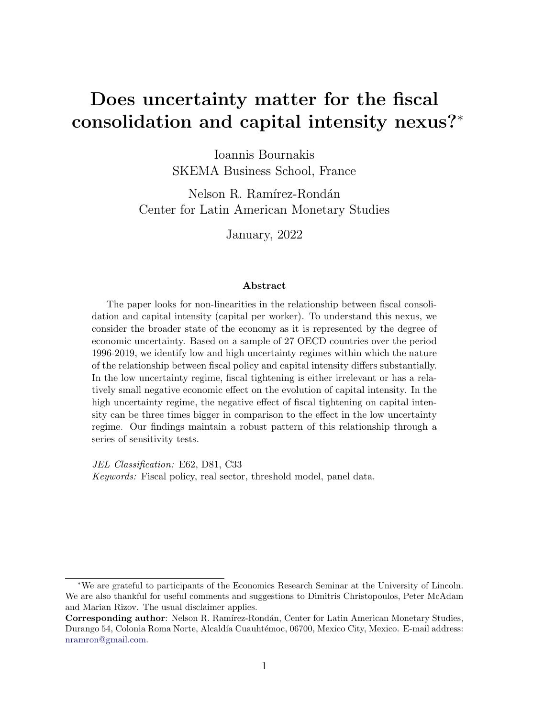## Does uncertainty matter for the fiscal consolidation and capital intensity nexus?<sup>∗</sup>

Ioannis Bournakis SKEMA Business School, France

Nelson R. Ramírez-Rondán Center for Latin American Monetary Studies

January, 2022

#### Abstract

The paper looks for non-linearities in the relationship between fiscal consolidation and capital intensity (capital per worker). To understand this nexus, we consider the broader state of the economy as it is represented by the degree of economic uncertainty. Based on a sample of 27 OECD countries over the period 1996-2019, we identify low and high uncertainty regimes within which the nature of the relationship between fiscal policy and capital intensity differs substantially. In the low uncertainty regime, fiscal tightening is either irrelevant or has a relatively small negative economic effect on the evolution of capital intensity. In the high uncertainty regime, the negative effect of fiscal tightening on capital intensity can be three times bigger in comparison to the effect in the low uncertainty regime. Our findings maintain a robust pattern of this relationship through a series of sensitivity tests.

JEL Classification: E62, D81, C33 Keywords: Fiscal policy, real sector, threshold model, panel data.

<sup>∗</sup>We are grateful to participants of the Economics Research Seminar at the University of Lincoln. We are also thankful for useful comments and suggestions to Dimitris Christopoulos, Peter McAdam and Marian Rizov. The usual disclaimer applies.

Corresponding author: Nelson R. Ramírez-Rondán, Center for Latin American Monetary Studies, Durango 54, Colonia Roma Norte, Alcaldía Cuauhtémoc, 06700, Mexico City, Mexico. E-mail address: nramron@gmail.com.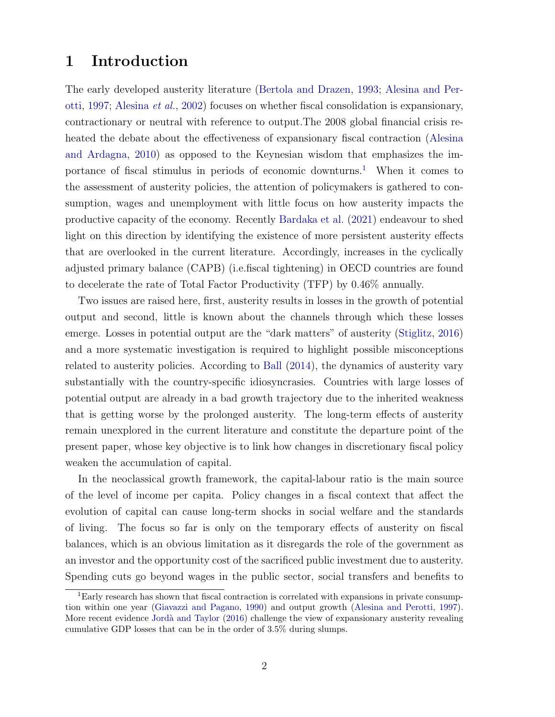### 1 Introduction

The early developed austerity literature (Bertola and Drazen, 1993; Alesina and Perotti, 1997; Alesina et al., 2002) focuses on whether fiscal consolidation is expansionary, contractionary or neutral with reference to output.The 2008 global financial crisis reheated the debate about the effectiveness of expansionary fiscal contraction (Alesina and Ardagna, 2010) as opposed to the Keynesian wisdom that emphasizes the importance of fiscal stimulus in periods of economic downturns. <sup>1</sup> When it comes to the assessment of austerity policies, the attention of policymakers is gathered to consumption, wages and unemployment with little focus on how austerity impacts the productive capacity of the economy. Recently Bardaka et al. (2021) endeavour to shed light on this direction by identifying the existence of more persistent austerity effects that are overlooked in the current literature. Accordingly, increases in the cyclically adjusted primary balance (CAPB) (i.e.fiscal tightening) in OECD countries are found to decelerate the rate of Total Factor Productivity (TFP) by 0.46% annually.

Two issues are raised here, first, austerity results in losses in the growth of potential output and second, little is known about the channels through which these losses emerge. Losses in potential output are the "dark matters" of austerity (Stiglitz, 2016) and a more systematic investigation is required to highlight possible misconceptions related to austerity policies. According to Ball (2014), the dynamics of austerity vary substantially with the country-specific idiosyncrasies. Countries with large losses of potential output are already in a bad growth trajectory due to the inherited weakness that is getting worse by the prolonged austerity. The long-term effects of austerity remain unexplored in the current literature and constitute the departure point of the present paper, whose key objective is to link how changes in discretionary fiscal policy weaken the accumulation of capital.

In the neoclassical growth framework, the capital-labour ratio is the main source of the level of income per capita. Policy changes in a fiscal context that affect the evolution of capital can cause long-term shocks in social welfare and the standards of living. The focus so far is only on the temporary effects of austerity on fiscal balances, which is an obvious limitation as it disregards the role of the government as an investor and the opportunity cost of the sacrificed public investment due to austerity. Spending cuts go beyond wages in the public sector, social transfers and benefits to

<sup>1</sup>Early research has shown that fiscal contraction is correlated with expansions in private consumption within one year (Giavazzi and Pagano, 1990) and output growth (Alesina and Perotti, 1997). More recent evidence Jordà and Taylor (2016) challenge the view of expansionary austerity revealing cumulative GDP losses that can be in the order of 3.5% during slumps.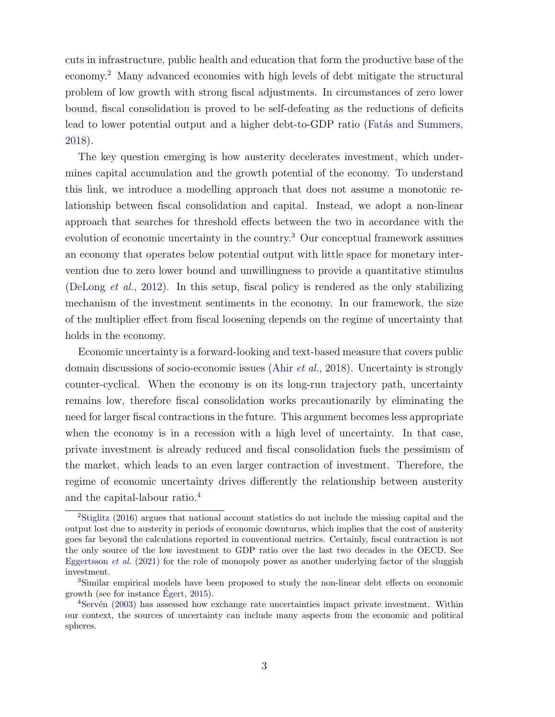cuts in infrastructure, public health and education that form the productive base of the economy.<sup>2</sup> Many advanced economies with high levels of debt mitigate the structural problem of low growth with strong fiscal adjustments. In circumstances of zero lower bound, fiscal consolidation is proved to be self-defeating as the reductions of deficits lead to lower potential output and a higher debt-to-GDP ratio (Fatas and Summers, 2018).

The key question emerging is how austerity decelerates investment, which undermines capital accumulation and the growth potential of the economy. To understand this link, we introduce a modelling approach that does not assume a monotonic relationship between fiscal consolidation and capital. Instead, we adopt a non-linear approach that searches for threshold effects between the two in accordance with the evolution of economic uncertainty in the country.<sup>3</sup> Our conceptual framework assumes an economy that operates below potential output with little space for monetary intervention due to zero lower bound and unwillingness to provide a quantitative stimulus (DeLong *et al.*, 2012). In this setup, fiscal policy is rendered as the only stabilizing mechanism of the investment sentiments in the economy. In our framework, the size of the multiplier effect from fiscal loosening depends on the regime of uncertainty that holds in the economy.

Economic uncertainty is a forward-looking and text-based measure that covers public domain discussions of socio-economic issues (Ahir et al., 2018). Uncertainty is strongly counter-cyclical. When the economy is on its long-run trajectory path, uncertainty remains low, therefore fiscal consolidation works precautionarily by eliminating the need for larger fiscal contractions in the future. This argument becomes less appropriate when the economy is in a recession with a high level of uncertainty. In that case, private investment is already reduced and fiscal consolidation fuels the pessimism of the market, which leads to an even larger contraction of investment. Therefore, the regime of economic uncertainty drives differently the relationship between austerity and the capital-labour ratio.<sup>4</sup>

<sup>2</sup>Stiglitz (2016) argues that national account statistics do not include the missing capital and the output lost due to austerity in periods of economic downturns, which implies that the cost of austerity goes far beyond the calculations reported in conventional metrics. Certainly, fiscal contraction is not the only source of the low investment to GDP ratio over the last two decades in the OECD. See Eggertsson *et al.* (2021) for the role of monopoly power as another underlying factor of the sluggish investment.

<sup>3</sup>Similar empirical models have been proposed to study the non-linear debt effects on economic growth (see for instance  $E_{\text{gert}}$ , 2015).

<sup>&</sup>lt;sup>4</sup>Servén (2003) has assessed how exchange rate uncertainties impact private investment. Within our context, the sources of uncertainty can include many aspects from the economic and political spheres.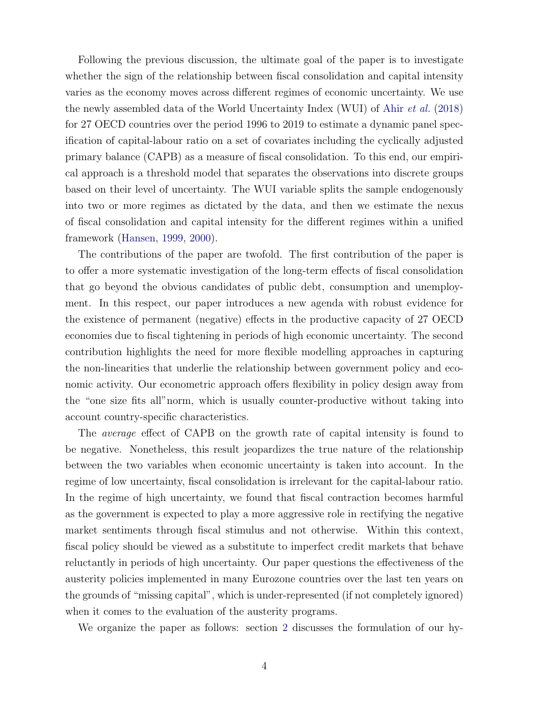Following the previous discussion, the ultimate goal of the paper is to investigate whether the sign of the relationship between fiscal consolidation and capital intensity varies as the economy moves across different regimes of economic uncertainty. We use the newly assembled data of the World Uncertainty Index (WUI) of Ahir et al. (2018) for 27 OECD countries over the period 1996 to 2019 to estimate a dynamic panel specification of capital-labour ratio on a set of covariates including the cyclically adjusted primary balance (CAPB) as a measure of fiscal consolidation. To this end, our empirical approach is a threshold model that separates the observations into discrete groups based on their level of uncertainty. The WUI variable splits the sample endogenously into two or more regimes as dictated by the data, and then we estimate the nexus of fiscal consolidation and capital intensity for the different regimes within a unified framework (Hansen, 1999, 2000).

The contributions of the paper are twofold. The first contribution of the paper is to offer a more systematic investigation of the long-term effects of fiscal consolidation that go beyond the obvious candidates of public debt, consumption and unemployment. In this respect, our paper introduces a new agenda with robust evidence for the existence of permanent (negative) effects in the productive capacity of 27 OECD economies due to fiscal tightening in periods of high economic uncertainty. The second contribution highlights the need for more flexible modelling approaches in capturing the non-linearities that underlie the relationship between government policy and economic activity. Our econometric approach offers flexibility in policy design away from the "one size fits all"norm, which is usually counter-productive without taking into account country-specific characteristics.

The average effect of CAPB on the growth rate of capital intensity is found to be negative. Nonetheless, this result jeopardizes the true nature of the relationship between the two variables when economic uncertainty is taken into account. In the regime of low uncertainty, fiscal consolidation is irrelevant for the capital-labour ratio. In the regime of high uncertainty, we found that fiscal contraction becomes harmful as the government is expected to play a more aggressive role in rectifying the negative market sentiments through fiscal stimulus and not otherwise. Within this context, fiscal policy should be viewed as a substitute to imperfect credit markets that behave reluctantly in periods of high uncertainty. Our paper questions the effectiveness of the austerity policies implemented in many Eurozone countries over the last ten years on the grounds of "missing capital", which is under-represented (if not completely ignored) when it comes to the evaluation of the austerity programs.

We organize the paper as follows: section 2 discusses the formulation of our hy-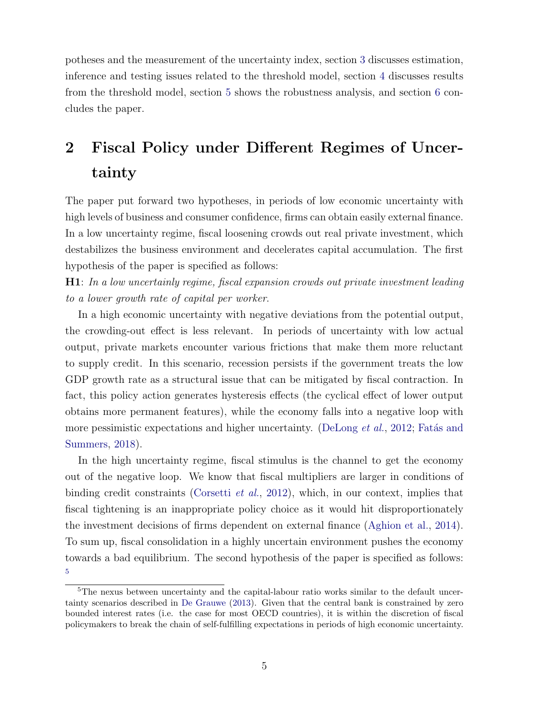potheses and the measurement of the uncertainty index, section 3 discusses estimation, inference and testing issues related to the threshold model, section 4 discusses results from the threshold model, section 5 shows the robustness analysis, and section 6 concludes the paper.

## 2 Fiscal Policy under Different Regimes of Uncertainty

The paper put forward two hypotheses, in periods of low economic uncertainty with high levels of business and consumer confidence, firms can obtain easily external finance. In a low uncertainty regime, fiscal loosening crowds out real private investment, which destabilizes the business environment and decelerates capital accumulation. The first hypothesis of the paper is specified as follows:

H1: In a low uncertainly regime, fiscal expansion crowds out private investment leading to a lower growth rate of capital per worker.

In a high economic uncertainty with negative deviations from the potential output, the crowding-out effect is less relevant. In periods of uncertainty with low actual output, private markets encounter various frictions that make them more reluctant to supply credit. In this scenario, recession persists if the government treats the low GDP growth rate as a structural issue that can be mitigated by fiscal contraction. In fact, this policy action generates hysteresis effects (the cyclical effect of lower output obtains more permanent features), while the economy falls into a negative loop with more pessimistic expectations and higher uncertainty. (DeLong  $et al., 2012$ ; Fatás and Summers, 2018).

In the high uncertainty regime, fiscal stimulus is the channel to get the economy out of the negative loop. We know that fiscal multipliers are larger in conditions of binding credit constraints (Corsetti *et al.*, 2012), which, in our context, implies that fiscal tightening is an inappropriate policy choice as it would hit disproportionately the investment decisions of firms dependent on external finance (Aghion et al., 2014). To sum up, fiscal consolidation in a highly uncertain environment pushes the economy towards a bad equilibrium. The second hypothesis of the paper is specified as follows: 5

<sup>&</sup>lt;sup>5</sup>The nexus between uncertainty and the capital-labour ratio works similar to the default uncertainty scenarios described in De Grauwe (2013). Given that the central bank is constrained by zero bounded interest rates (i.e. the case for most OECD countries), it is within the discretion of fiscal policymakers to break the chain of self-fulfilling expectations in periods of high economic uncertainty.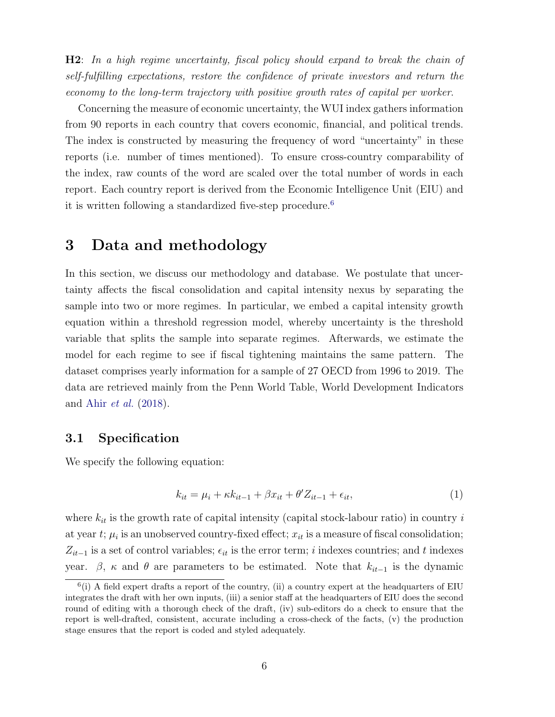H2: In a high regime uncertainty, fiscal policy should expand to break the chain of self-fulfilling expectations, restore the confidence of private investors and return the economy to the long-term trajectory with positive growth rates of capital per worker.

Concerning the measure of economic uncertainty, the WUI index gathers information from 90 reports in each country that covers economic, financial, and political trends. The index is constructed by measuring the frequency of word "uncertainty" in these reports (i.e. number of times mentioned). To ensure cross-country comparability of the index, raw counts of the word are scaled over the total number of words in each report. Each country report is derived from the Economic Intelligence Unit (EIU) and it is written following a standardized five-step procedure.<sup>6</sup>

### 3 Data and methodology

In this section, we discuss our methodology and database. We postulate that uncertainty affects the fiscal consolidation and capital intensity nexus by separating the sample into two or more regimes. In particular, we embed a capital intensity growth equation within a threshold regression model, whereby uncertainty is the threshold variable that splits the sample into separate regimes. Afterwards, we estimate the model for each regime to see if fiscal tightening maintains the same pattern. The dataset comprises yearly information for a sample of 27 OECD from 1996 to 2019. The data are retrieved mainly from the Penn World Table, World Development Indicators and Ahir et al. (2018).

#### 3.1 Specification

We specify the following equation:

$$
k_{it} = \mu_i + \kappa k_{it-1} + \beta x_{it} + \theta' Z_{it-1} + \epsilon_{it},\tag{1}
$$

where  $k_{it}$  is the growth rate of capital intensity (capital stock-labour ratio) in country i at year  $t$ ;  $\mu_i$  is an unobserved country-fixed effect;  $x_{it}$  is a measure of fiscal consolidation;  $Z_{it-1}$  is a set of control variables;  $\epsilon_{it}$  is the error term; i indexes countries; and t indexes year.  $\beta$ ,  $\kappa$  and  $\theta$  are parameters to be estimated. Note that  $k_{it-1}$  is the dynamic

 $<sup>6</sup>(i)$  A field expert drafts a report of the country, (ii) a country expert at the headquarters of EIU</sup> integrates the draft with her own inputs, (iii) a senior staff at the headquarters of EIU does the second round of editing with a thorough check of the draft, (iv) sub-editors do a check to ensure that the report is well-drafted, consistent, accurate including a cross-check of the facts, (v) the production stage ensures that the report is coded and styled adequately.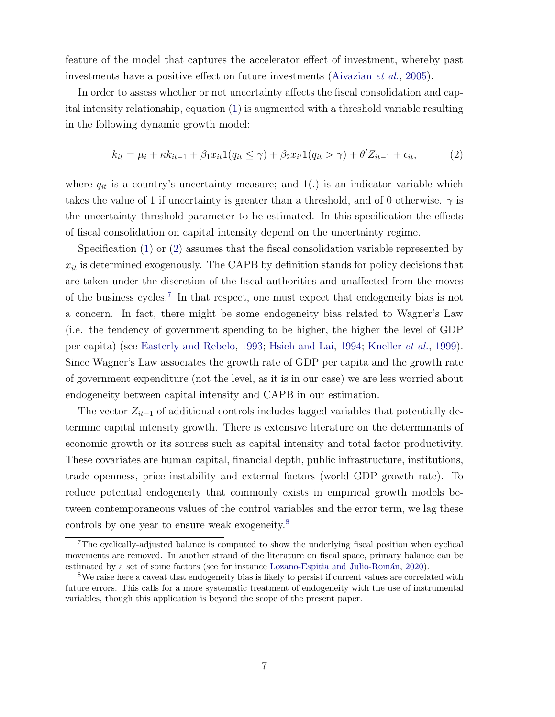feature of the model that captures the accelerator effect of investment, whereby past investments have a positive effect on future investments (Aivazian *et al.*, 2005).

In order to assess whether or not uncertainty affects the fiscal consolidation and capital intensity relationship, equation (1) is augmented with a threshold variable resulting in the following dynamic growth model:

$$
k_{it} = \mu_i + \kappa k_{it-1} + \beta_1 x_{it} 1(q_{it} \le \gamma) + \beta_2 x_{it} 1(q_{it} > \gamma) + \theta' Z_{it-1} + \epsilon_{it},\tag{2}
$$

where  $q_{it}$  is a country's uncertainty measure; and 1(.) is an indicator variable which takes the value of 1 if uncertainty is greater than a threshold, and of 0 otherwise.  $\gamma$  is the uncertainty threshold parameter to be estimated. In this specification the effects of fiscal consolidation on capital intensity depend on the uncertainty regime.

Specification (1) or (2) assumes that the fiscal consolidation variable represented by  $x_{it}$  is determined exogenously. The CAPB by definition stands for policy decisions that are taken under the discretion of the fiscal authorities and unaffected from the moves of the business cycles.<sup>7</sup> In that respect, one must expect that endogeneity bias is not a concern. In fact, there might be some endogeneity bias related to Wagner's Law (i.e. the tendency of government spending to be higher, the higher the level of GDP per capita) (see Easterly and Rebelo, 1993; Hsieh and Lai, 1994; Kneller et al., 1999). Since Wagner's Law associates the growth rate of GDP per capita and the growth rate of government expenditure (not the level, as it is in our case) we are less worried about endogeneity between capital intensity and CAPB in our estimation.

The vector  $Z_{it-1}$  of additional controls includes lagged variables that potentially determine capital intensity growth. There is extensive literature on the determinants of economic growth or its sources such as capital intensity and total factor productivity. These covariates are human capital, financial depth, public infrastructure, institutions, trade openness, price instability and external factors (world GDP growth rate). To reduce potential endogeneity that commonly exists in empirical growth models between contemporaneous values of the control variables and the error term, we lag these controls by one year to ensure weak exogeneity.<sup>8</sup>

<sup>7</sup>The cyclically-adjusted balance is computed to show the underlying fiscal position when cyclical movements are removed. In another strand of the literature on fiscal space, primary balance can be estimated by a set of some factors (see for instance Lozano-Espitia and Julio-Román, 2020).

<sup>&</sup>lt;sup>8</sup>We raise here a caveat that endogeneity bias is likely to persist if current values are correlated with future errors. This calls for a more systematic treatment of endogeneity with the use of instrumental variables, though this application is beyond the scope of the present paper.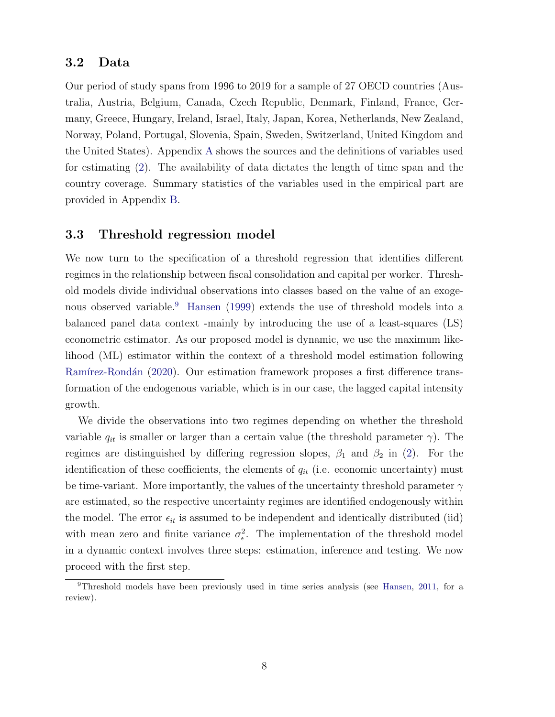#### 3.2 Data

Our period of study spans from 1996 to 2019 for a sample of 27 OECD countries (Australia, Austria, Belgium, Canada, Czech Republic, Denmark, Finland, France, Germany, Greece, Hungary, Ireland, Israel, Italy, Japan, Korea, Netherlands, New Zealand, Norway, Poland, Portugal, Slovenia, Spain, Sweden, Switzerland, United Kingdom and the United States). Appendix A shows the sources and the definitions of variables used for estimating (2). The availability of data dictates the length of time span and the country coverage. Summary statistics of the variables used in the empirical part are provided in Appendix B.

#### 3.3 Threshold regression model

We now turn to the specification of a threshold regression that identifies different regimes in the relationship between fiscal consolidation and capital per worker. Threshold models divide individual observations into classes based on the value of an exogenous observed variable.<sup>9</sup> Hansen (1999) extends the use of threshold models into a balanced panel data context -mainly by introducing the use of a least-squares (LS) econometric estimator. As our proposed model is dynamic, we use the maximum likelihood (ML) estimator within the context of a threshold model estimation following Ramírez-Rondán (2020). Our estimation framework proposes a first difference transformation of the endogenous variable, which is in our case, the lagged capital intensity growth.

We divide the observations into two regimes depending on whether the threshold variable  $q_{it}$  is smaller or larger than a certain value (the threshold parameter  $\gamma$ ). The regimes are distinguished by differing regression slopes,  $\beta_1$  and  $\beta_2$  in (2). For the identification of these coefficients, the elements of  $q_{it}$  (i.e. economic uncertainty) must be time-variant. More importantly, the values of the uncertainty threshold parameter  $\gamma$ are estimated, so the respective uncertainty regimes are identified endogenously within the model. The error  $\epsilon_{it}$  is assumed to be independent and identically distributed (iid) with mean zero and finite variance  $\sigma_{\epsilon}^2$ <sup>2</sup>. The implementation of the threshold model in a dynamic context involves three steps: estimation, inference and testing. We now proceed with the first step.

<sup>9</sup>Threshold models have been previously used in time series analysis (see Hansen, 2011, for a review).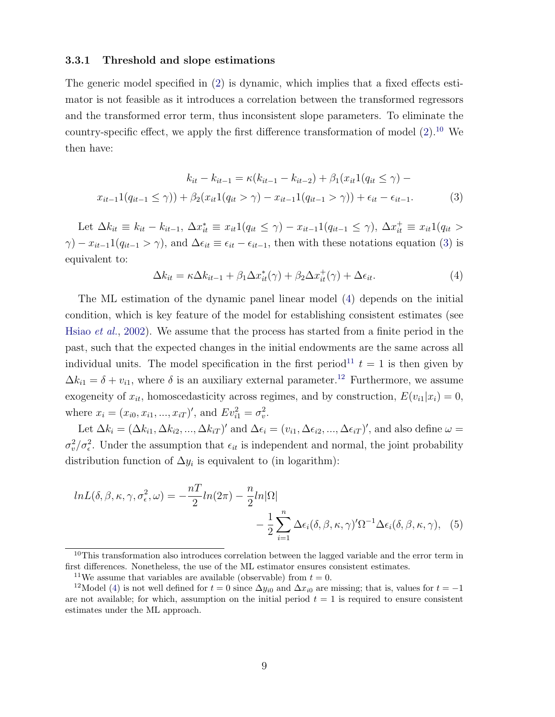#### 3.3.1 Threshold and slope estimations

The generic model specified in (2) is dynamic, which implies that a fixed effects estimator is not feasible as it introduces a correlation between the transformed regressors and the transformed error term, thus inconsistent slope parameters. To eliminate the country-specific effect, we apply the first difference transformation of model  $(2)$ .<sup>10</sup> We then have:

$$
k_{it} - k_{it-1} = \kappa(k_{it-1} - k_{it-2}) + \beta_1(x_{it}1(q_{it} \le \gamma) - x_{it-1}1(q_{it-1} \le \gamma)) + \beta_2(x_{it}1(q_{it} > \gamma) - x_{it-1}1(q_{it-1} > \gamma)) + \epsilon_{it} - \epsilon_{it-1}.
$$
\n(3)

Let  $\Delta k_{it} \equiv k_{it} - k_{it-1}, \ \Delta x_{it}^* \equiv x_{it} 1 (q_{it} \leq \gamma) - x_{it-1} 1 (q_{it-1} \leq \gamma), \ \Delta x_{it}^+ \equiv x_{it} 1 (q_{it} >$  $\gamma$ ) –  $x_{it-1}1(q_{it-1} > \gamma)$ , and  $\Delta \epsilon_{it} \equiv \epsilon_{it} - \epsilon_{it-1}$ , then with these notations equation (3) is equivalent to:

$$
\Delta k_{it} = \kappa \Delta k_{it-1} + \beta_1 \Delta x_{it}^*(\gamma) + \beta_2 \Delta x_{it}^+(\gamma) + \Delta \epsilon_{it}.
$$
\n(4)

The ML estimation of the dynamic panel linear model (4) depends on the initial condition, which is key feature of the model for establishing consistent estimates (see Hsiao et al., 2002). We assume that the process has started from a finite period in the past, such that the expected changes in the initial endowments are the same across all individual units. The model specification in the first period<sup>11</sup>  $t = 1$  is then given by  $\Delta k_{i1} = \delta + v_{i1}$ , where  $\delta$  is an auxiliary external parameter.<sup>12</sup> Furthermore, we assume exogeneity of  $x_{it}$ , homoscedasticity across regimes, and by construction,  $E(v_{i1}|x_i) = 0$ , where  $x_i = (x_{i0}, x_{i1}, ..., x_{iT})'$ , and  $Ev_{i1}^2 = \sigma_v^2$  $\frac{2}{v}$ .

Let  $\Delta k_i = (\Delta k_{i1}, \Delta k_{i2}, ..., \Delta k_{iT})'$  and  $\Delta \epsilon_i = (v_{i1}, \Delta \epsilon_{i2}, ..., \Delta \epsilon_{iT})'$ , and also define  $\omega =$  $\sigma_v^2$  $v^2/\sigma_{\epsilon}^2$ . Under the assumption that  $\epsilon_{it}$  is independent and normal, the joint probability distribution function of  $\Delta y_i$  is equivalent to (in logarithm):

$$
ln L(\delta, \beta, \kappa, \gamma, \sigma_{\epsilon}^2, \omega) = -\frac{nT}{2} ln(2\pi) - \frac{n}{2} ln |\Omega|
$$
  

$$
-\frac{1}{2} \sum_{i=1}^n \Delta \epsilon_i(\delta, \beta, \kappa, \gamma)' \Omega^{-1} \Delta \epsilon_i(\delta, \beta, \kappa, \gamma), \quad (5)
$$

<sup>&</sup>lt;sup>10</sup>This transformation also introduces correlation between the lagged variable and the error term in first differences. Nonetheless, the use of the ML estimator ensures consistent estimates.

<sup>&</sup>lt;sup>11</sup>We assume that variables are available (observable) from  $t = 0$ .

<sup>&</sup>lt;sup>12</sup>Model (4) is not well defined for  $t = 0$  since  $\Delta y_{i0}$  and  $\Delta x_{i0}$  are missing; that is, values for  $t = -1$ are not available; for which, assumption on the initial period  $t = 1$  is required to ensure consistent estimates under the ML approach.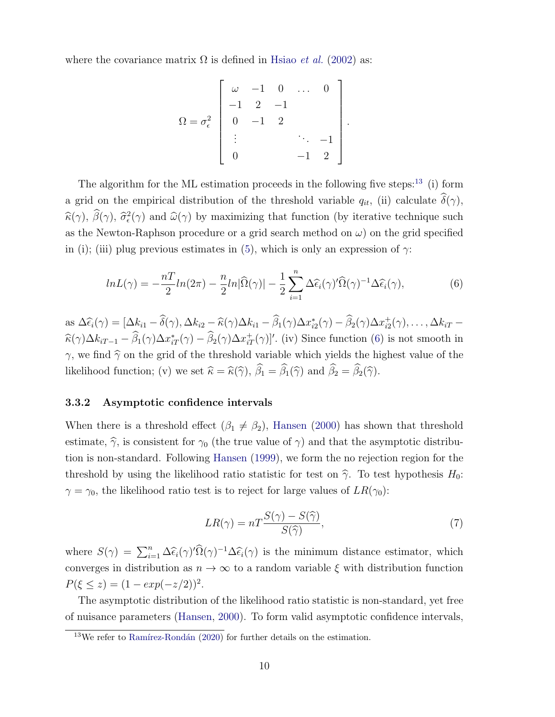where the covariance matrix  $\Omega$  is defined in Hsiao *et al.* (2002) as:

$$
\Omega = \sigma_{\epsilon}^{2} \begin{bmatrix} \omega & -1 & 0 & \dots & 0 \\ -1 & 2 & -1 & & \\ 0 & -1 & 2 & & \\ \vdots & & & \ddots & -1 \\ 0 & & & & -1 & 2 \end{bmatrix}
$$

.

The algorithm for the ML estimation proceeds in the following five steps:<sup>13</sup> (i) form a grid on the empirical distribution of the threshold variable  $q_{it}$ , (ii) calculate  $\hat{\delta}(\gamma)$ ,  $\widehat{\kappa}(\gamma), \widehat{\beta}(\gamma), \widehat{\sigma}_{\epsilon}^2$  $\hat{\omega}^2(\gamma)$  and  $\hat{\omega}(\gamma)$  by maximizing that function (by iterative technique such as the Newton-Raphson procedure or a grid search method on  $\omega$ ) on the grid specified in (i); (iii) plug previous estimates in (5), which is only an expression of  $\gamma$ :

$$
lnL(\gamma) = -\frac{nT}{2}ln(2\pi) - \frac{n}{2}ln|\widehat{\Omega}(\gamma)| - \frac{1}{2}\sum_{i=1}^{n} \Delta \widehat{\epsilon}_{i}(\gamma)'\widehat{\Omega}(\gamma)^{-1}\Delta \widehat{\epsilon}_{i}(\gamma), \tag{6}
$$

as  $\Delta \widehat{\epsilon}_i(\gamma) = [\Delta k_{i1} - \widehat{\delta}(\gamma), \Delta k_{i2} - \widehat{\kappa}(\gamma)\Delta k_{i1} - \widehat{\beta}_1(\gamma)\Delta x_{i2}^*$  $\hat{e}_i^*(\gamma) - \widehat{\beta}_2(\gamma) \Delta x_{i2}^+$  $i_2^+(\gamma), \ldots, \Delta k_{iT}$  –  $\widehat{\kappa}(\gamma) \Delta k_{iT-1} - \widehat{\beta}_1(\gamma) \Delta x_{iT}^*(\gamma) - \widehat{\beta}_2(\gamma) \Delta x_{iT}^*(\gamma)$ ''. (iv) Since function (6) is not smooth in  $\gamma$ , we find  $\hat{\gamma}$  on the grid of the threshold variable which yields the highest value of the likelihood function; (v) we set  $\hat{\kappa} = \hat{\kappa}(\hat{\gamma}), \hat{\beta}_1 = \hat{\beta}_1(\hat{\gamma})$  and  $\hat{\beta}_2 = \hat{\beta}_2(\hat{\gamma})$ .

#### 3.3.2 Asymptotic confidence intervals

When there is a threshold effect  $(\beta_1 \neq \beta_2)$ , Hansen (2000) has shown that threshold estimate,  $\hat{\gamma}$ , is consistent for  $\gamma_0$  (the true value of  $\gamma$ ) and that the asymptotic distribution is non-standard. Following Hansen (1999), we form the no rejection region for the threshold by using the likelihood ratio statistic for test on  $\hat{\gamma}$ . To test hypothesis  $H_0$ :  $\gamma = \gamma_0$ , the likelihood ratio test is to reject for large values of  $LR(\gamma_0)$ :

$$
LR(\gamma) = nT \frac{S(\gamma) - S(\widehat{\gamma})}{S(\widehat{\gamma})},\tag{7}
$$

where  $S(\gamma) = \sum_{i=1}^n \Delta \widehat{\epsilon}_i(\gamma) \widehat{\Omega}(\gamma)^{-1} \Delta \widehat{\epsilon}_i(\gamma)$  is the minimum distance estimator, which converges in distribution as  $n \to \infty$  to a random variable  $\xi$  with distribution function  $P(\xi \le z) = (1 - exp(-z/2))^2.$ 

The asymptotic distribution of the likelihood ratio statistic is non-standard, yet free of nuisance parameters (Hansen, 2000). To form valid asymptotic confidence intervals,

 $13$ We refer to Ramírez-Rondán (2020) for further details on the estimation.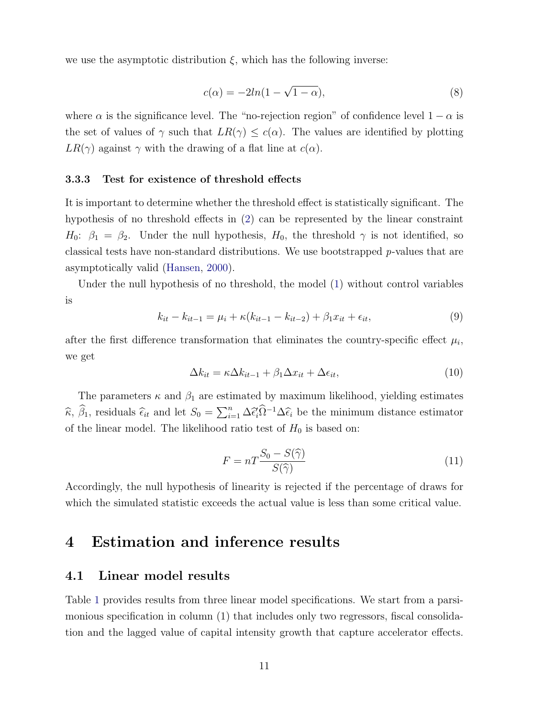we use the asymptotic distribution  $\xi$ , which has the following inverse:

$$
c(\alpha) = -2\ln(1 - \sqrt{1 - \alpha}),\tag{8}
$$

where  $\alpha$  is the significance level. The "no-rejection region" of confidence level  $1 - \alpha$  is the set of values of  $\gamma$  such that  $LR(\gamma) \leq c(\alpha)$ . The values are identified by plotting  $LR(\gamma)$  against  $\gamma$  with the drawing of a flat line at  $c(\alpha)$ .

#### 3.3.3 Test for existence of threshold effects

It is important to determine whether the threshold effect is statistically significant. The hypothesis of no threshold effects in (2) can be represented by the linear constraint  $H_0$ :  $\beta_1 = \beta_2$ . Under the null hypothesis,  $H_0$ , the threshold  $\gamma$  is not identified, so classical tests have non-standard distributions. We use bootstrapped  $p$ -values that are asymptotically valid (Hansen, 2000).

Under the null hypothesis of no threshold, the model (1) without control variables is

$$
k_{it} - k_{it-1} = \mu_i + \kappa (k_{it-1} - k_{it-2}) + \beta_1 x_{it} + \epsilon_{it}, \tag{9}
$$

after the first difference transformation that eliminates the country-specific effect  $\mu_i$ , we get

$$
\Delta k_{it} = \kappa \Delta k_{it-1} + \beta_1 \Delta x_{it} + \Delta \epsilon_{it},\tag{10}
$$

The parameters  $\kappa$  and  $\beta_1$  are estimated by maximum likelihood, yielding estimates  $\widehat{\kappa}$ ,  $\widehat{\beta}_1$ , residuals  $\widehat{\epsilon}_{it}$  and let  $S_0 = \sum_{i=1}^n \Delta \widehat{\epsilon}_i \widehat{\Omega}^{-1} \Delta \widehat{\epsilon}_i$  be the minimum distance estimator of the linear model. The likelihood ratio test of  $H_0$  is based on:

$$
F = nT \frac{S_0 - S(\hat{\gamma})}{S(\hat{\gamma})}
$$
\n(11)

Accordingly, the null hypothesis of linearity is rejected if the percentage of draws for which the simulated statistic exceeds the actual value is less than some critical value.

### 4 Estimation and inference results

#### 4.1 Linear model results

Table 1 provides results from three linear model specifications. We start from a parsimonious specification in column (1) that includes only two regressors, fiscal consolidation and the lagged value of capital intensity growth that capture accelerator effects.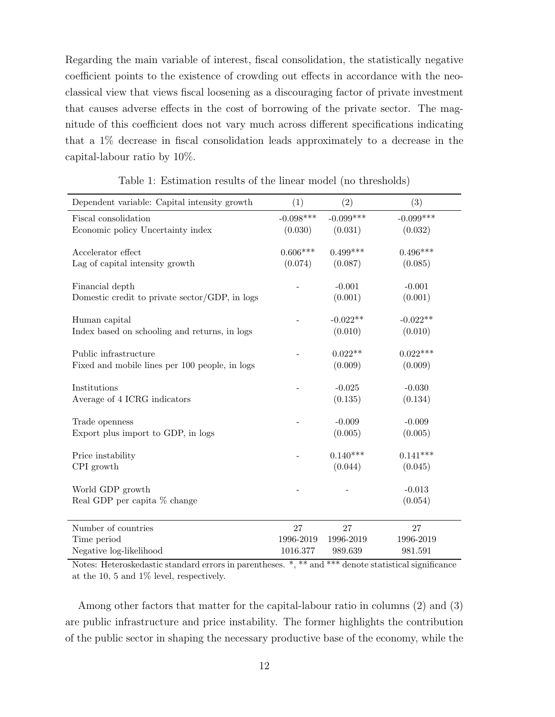Regarding the main variable of interest, fiscal consolidation, the statistically negative coefficient points to the existence of crowding out effects in accordance with the neoclassical view that views fiscal loosening as a discouraging factor of private investment that causes adverse effects in the cost of borrowing of the private sector. The magnitude of this coefficient does not vary much across different specifications indicating that a 1% decrease in fiscal consolidation leads approximately to a decrease in the capital-labour ratio by 10%.

| Dependent variable: Capital intensity growth   | (1)         | (2)         | (3)         |
|------------------------------------------------|-------------|-------------|-------------|
| Fiscal consolidation                           | $-0.098***$ | $-0.099***$ | $-0.099***$ |
| Economic policy Uncertainty index              | (0.030)     | (0.031)     | (0.032)     |
|                                                |             |             |             |
| Accelerator effect                             | $0.606***$  | $0.499***$  | $0.496***$  |
| Lag of capital intensity growth                | (0.074)     | (0.087)     | (0.085)     |
|                                                |             |             |             |
| Financial depth                                |             | $-0.001$    | $-0.001$    |
| Domestic credit to private sector/GDP, in logs |             | (0.001)     | (0.001)     |
| Human capital                                  |             | $-0.022**$  | $-0.022**$  |
| Index based on schooling and returns, in logs  |             | (0.010)     | (0.010)     |
|                                                |             |             |             |
| Public infrastructure                          |             | $0.022**$   | $0.022***$  |
| Fixed and mobile lines per 100 people, in logs |             | (0.009)     | (0.009)     |
|                                                |             |             |             |
| Institutions                                   |             | $-0.025$    | $-0.030$    |
| Average of 4 ICRG indicators                   |             | (0.135)     | (0.134)     |
|                                                |             |             |             |
| Trade openness                                 |             | $-0.009$    | $-0.009$    |
| Export plus import to GDP, in logs             |             | (0.005)     | (0.005)     |
| Price instability                              |             | $0.140***$  | $0.141***$  |
| CPI growth                                     |             | (0.044)     | (0.045)     |
|                                                |             |             |             |
| World GDP growth                               |             |             | $-0.013$    |
| Real GDP per capita % change                   |             |             | (0.054)     |
|                                                |             |             |             |
| Number of countries                            | 27          | 27          | 27          |
| Time period                                    | 1996-2019   | 1996-2019   | 1996-2019   |
| Negative log-likelihood                        | 1016.377    | 989.639     | 981.591     |

Table 1: Estimation results of the linear model (no thresholds)

Notes: Heteroskedastic standard errors in parentheses. \*, \*\* and \*\*\* denote statistical significance at the 10, 5 and 1% level, respectively.

Among other factors that matter for the capital-labour ratio in columns (2) and (3) are public infrastructure and price instability. The former highlights the contribution of the public sector in shaping the necessary productive base of the economy, while the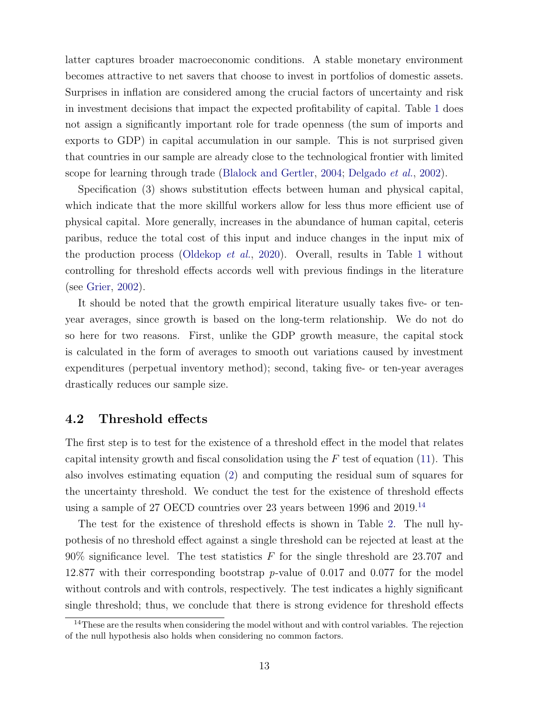latter captures broader macroeconomic conditions. A stable monetary environment becomes attractive to net savers that choose to invest in portfolios of domestic assets. Surprises in inflation are considered among the crucial factors of uncertainty and risk in investment decisions that impact the expected profitability of capital. Table 1 does not assign a significantly important role for trade openness (the sum of imports and exports to GDP) in capital accumulation in our sample. This is not surprised given that countries in our sample are already close to the technological frontier with limited scope for learning through trade (Blalock and Gertler, 2004; Delgado et al., 2002).

Specification (3) shows substitution effects between human and physical capital, which indicate that the more skillful workers allow for less thus more efficient use of physical capital. More generally, increases in the abundance of human capital, ceteris paribus, reduce the total cost of this input and induce changes in the input mix of the production process (Oldekop et al., 2020). Overall, results in Table 1 without controlling for threshold effects accords well with previous findings in the literature (see Grier, 2002).

It should be noted that the growth empirical literature usually takes five- or tenyear averages, since growth is based on the long-term relationship. We do not do so here for two reasons. First, unlike the GDP growth measure, the capital stock is calculated in the form of averages to smooth out variations caused by investment expenditures (perpetual inventory method); second, taking five- or ten-year averages drastically reduces our sample size.

#### 4.2 Threshold effects

The first step is to test for the existence of a threshold effect in the model that relates capital intensity growth and fiscal consolidation using the  $F$  test of equation (11). This also involves estimating equation (2) and computing the residual sum of squares for the uncertainty threshold. We conduct the test for the existence of threshold effects using a sample of 27 OECD countries over 23 years between 1996 and 2019.<sup>14</sup>

The test for the existence of threshold effects is shown in Table 2. The null hypothesis of no threshold effect against a single threshold can be rejected at least at the 90% significance level. The test statistics F for the single threshold are 23.707 and 12.877 with their corresponding bootstrap p-value of 0.017 and 0.077 for the model without controls and with controls, respectively. The test indicates a highly significant single threshold; thus, we conclude that there is strong evidence for threshold effects

<sup>&</sup>lt;sup>14</sup>These are the results when considering the model without and with control variables. The rejection of the null hypothesis also holds when considering no common factors.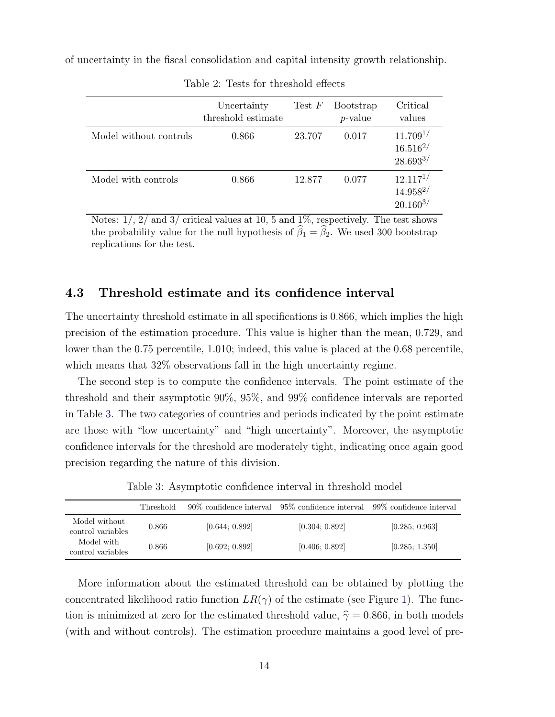of uncertainty in the fiscal consolidation and capital intensity growth relationship.

|                        | Uncertainty<br>threshold estimate | Test $F$ | <b>Bootstrap</b><br>$p$ -value | Critical<br>values                              |
|------------------------|-----------------------------------|----------|--------------------------------|-------------------------------------------------|
| Model without controls | 0.866                             | 23.707   | 0.017                          | $11.709^{1/}$<br>$16.516^{2/}$<br>$28.693^{3/}$ |
| Model with controls    | 0.866                             | 12.877   | 0.077                          | $12.117^{1/}$<br>$14.958^{2/}$<br>$20.160^{3/}$ |

Table 2: Tests for threshold effects

Notes:  $1/$ ,  $2/$  and  $3/$  critical values at 10, 5 and 1%, respectively. The test shows the probability value for the null hypothesis of  $\hat{\beta}_1 = \hat{\beta}_2$ . We used 300 bootstrap replications for the test.

#### 4.3 Threshold estimate and its confidence interval

The uncertainty threshold estimate in all specifications is 0.866, which implies the high precision of the estimation procedure. This value is higher than the mean, 0.729, and lower than the 0.75 percentile, 1.010; indeed, this value is placed at the 0.68 percentile, which means that  $32\%$  observations fall in the high uncertainty regime.

The second step is to compute the confidence intervals. The point estimate of the threshold and their asymptotic 90%, 95%, and 99% confidence intervals are reported in Table 3. The two categories of countries and periods indicated by the point estimate are those with "low uncertainty" and "high uncertainty". Moreover, the asymptotic confidence intervals for the threshold are moderately tight, indicating once again good precision regarding the nature of this division.

Table 3: Asymptotic confidence interval in threshold model

|                                    | <b>Threshold</b> | 90\% confidence interval | 95\% confidence interval 99\% confidence interval |                |
|------------------------------------|------------------|--------------------------|---------------------------------------------------|----------------|
| Model without<br>control variables | 0.866            | [0.644: 0.892]           | [0.304; 0.892]                                    | [0.285; 0.963] |
| Model with<br>control variables    | 0.866            | [0.692; 0.892]           | [0.406; 0.892]                                    | [0.285; 1.350] |

More information about the estimated threshold can be obtained by plotting the concentrated likelihood ratio function  $LR(\gamma)$  of the estimate (see Figure 1). The function is minimized at zero for the estimated threshold value,  $\hat{\gamma} = 0.866$ , in both models (with and without controls). The estimation procedure maintains a good level of pre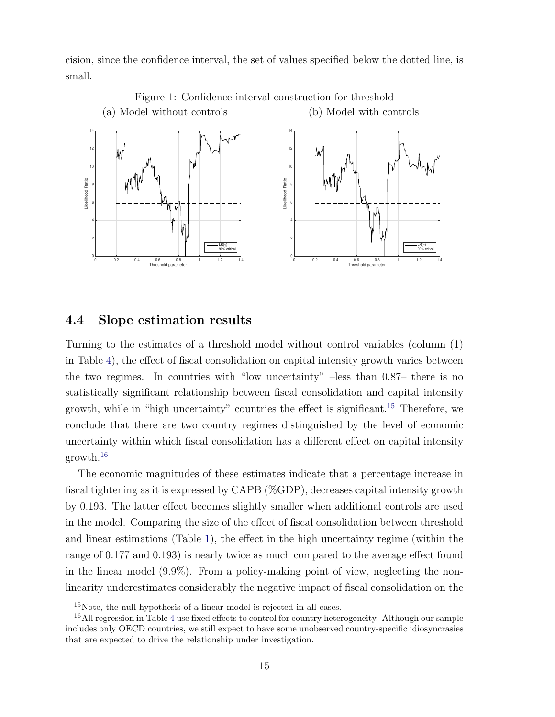cision, since the confidence interval, the set of values specified below the dotted line, is small.



Figure 1: Confidence interval construction for threshold (a) Model without controls (b) Model with controls

#### 4.4 Slope estimation results

Turning to the estimates of a threshold model without control variables (column (1) in Table 4), the effect of fiscal consolidation on capital intensity growth varies between the two regimes. In countries with "low uncertainty" –less than 0.87– there is no statistically significant relationship between fiscal consolidation and capital intensity growth, while in "high uncertainty" countries the effect is significant.<sup>15</sup> Therefore, we conclude that there are two country regimes distinguished by the level of economic uncertainty within which fiscal consolidation has a different effect on capital intensity growth.<sup>16</sup>

The economic magnitudes of these estimates indicate that a percentage increase in fiscal tightening as it is expressed by CAPB (%GDP), decreases capital intensity growth by 0.193. The latter effect becomes slightly smaller when additional controls are used in the model. Comparing the size of the effect of fiscal consolidation between threshold and linear estimations (Table 1), the effect in the high uncertainty regime (within the range of 0.177 and 0.193) is nearly twice as much compared to the average effect found in the linear model (9.9%). From a policy-making point of view, neglecting the nonlinearity underestimates considerably the negative impact of fiscal consolidation on the

<sup>15</sup>Note, the null hypothesis of a linear model is rejected in all cases.

<sup>&</sup>lt;sup>16</sup>All regression in Table 4 use fixed effects to control for country heterogeneity. Although our sample includes only OECD countries, we still expect to have some unobserved country-specific idiosyncrasies that are expected to drive the relationship under investigation.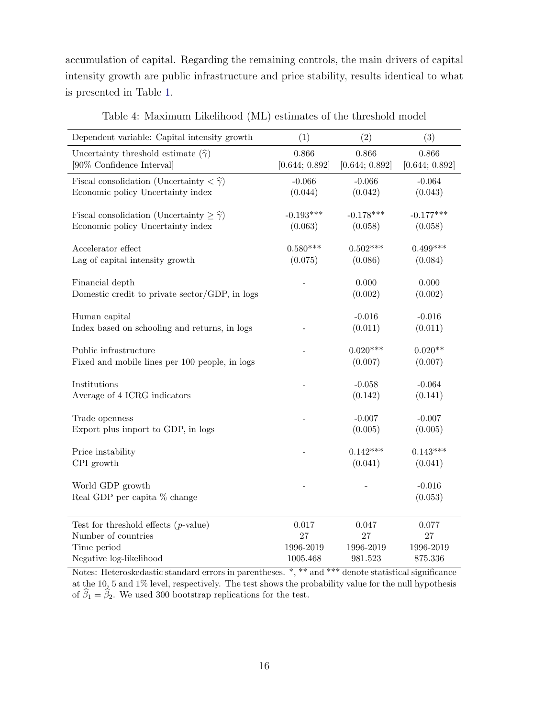accumulation of capital. Regarding the remaining controls, the main drivers of capital intensity growth are public infrastructure and price stability, results identical to what is presented in Table 1.

| Dependent variable: Capital intensity growth                     | (1)            | (2)            | (3)                 |
|------------------------------------------------------------------|----------------|----------------|---------------------|
| Uncertainty threshold estimate $(\hat{\gamma})$                  | 0.866          | 0.866          | 0.866               |
| [90% Confidence Interval]                                        | [0.644; 0.892] | [0.644; 0.892] | [0.644; 0.892]      |
| Fiscal consolidation (Uncertainty $\langle \hat{\gamma} \rangle$ | $-0.066$       | $-0.066$       | $-0.064$            |
| Economic policy Uncertainty index                                | (0.044)        | (0.042)        | (0.043)             |
| Fiscal consolidation (Uncertainty $\geq \hat{\gamma}$ )          | $-0.193***$    | $-0.178***$    | $-0.177***$         |
| Economic policy Uncertainty index                                | (0.063)        | (0.058)        | (0.058)             |
| Accelerator effect                                               | $0.580***$     | $0.502***$     | $0.499***$          |
| Lag of capital intensity growth                                  | (0.075)        | (0.086)        | (0.084)             |
| Financial depth                                                  |                | 0.000          | 0.000               |
| Domestic credit to private sector/GDP, in logs                   |                | (0.002)        | (0.002)             |
| Human capital                                                    |                | $-0.016$       | $-0.016$            |
| Index based on schooling and returns, in logs                    |                | (0.011)        | (0.011)             |
| Public infrastructure                                            |                | $0.020***$     | $0.020**$           |
| Fixed and mobile lines per 100 people, in logs                   |                | (0.007)        | (0.007)             |
| Institutions                                                     |                | $-0.058$       | $-0.064$            |
| Average of 4 ICRG indicators                                     |                | (0.142)        | (0.141)             |
| Trade openness                                                   |                | $-0.007$       | $-0.007$            |
| Export plus import to GDP, in logs                               |                | (0.005)        | (0.005)             |
| Price instability                                                |                | $0.142***$     | $0.143***$          |
| CPI growth                                                       |                | (0.041)        | (0.041)             |
| World GDP growth<br>Real GDP per capita % change                 |                |                | $-0.016$<br>(0.053) |
| Test for threshold effects $(p$ -value)                          | 0.017          | 0.047          | 0.077               |
| Number of countries                                              | 27             | 27             | $27\,$              |
| Time period                                                      | 1996-2019      | 1996-2019      | 1996-2019           |
| Negative log-likelihood                                          | 1005.468       | 981.523        | 875.336             |

Table 4: Maximum Likelihood (ML) estimates of the threshold model

Notes: Heteroskedastic standard errors in parentheses. \*, \*\* and \*\*\* denote statistical significance at the 10, 5 and 1% level, respectively. The test shows the probability value for the null hypothesis of  $\widehat{\beta}_1 = \widehat{\beta}_2.$  We used 300 bootstrap replications for the test.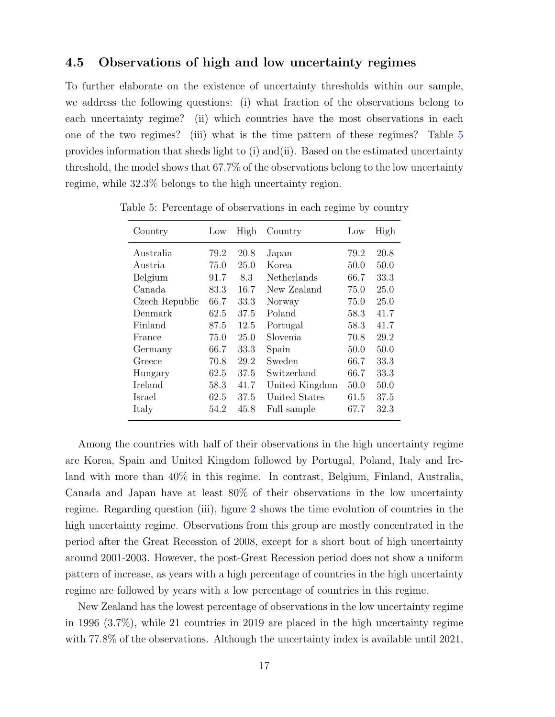#### 4.5 Observations of high and low uncertainty regimes

To further elaborate on the existence of uncertainty thresholds within our sample, we address the following questions: (i) what fraction of the observations belong to each uncertainty regime? (ii) which countries have the most observations in each one of the two regimes? (iii) what is the time pattern of these regimes? Table 5 provides information that sheds light to (i) and(ii). Based on the estimated uncertainty threshold, the model shows that 67.7% of the observations belong to the low uncertainty regime, while 32.3% belongs to the high uncertainty region.

| Country        | Low  | High | Country        | Low  | High |
|----------------|------|------|----------------|------|------|
| Australia      | 79.2 | 20.8 | Japan          | 79.2 | 20.8 |
| Austria        | 75.0 | 25.0 | Korea          | 50.0 | 50.0 |
| Belgium        | 91.7 | 8.3  | Netherlands    | 66.7 | 33.3 |
| Canada         | 83.3 | 16.7 | New Zealand    | 75.0 | 25.0 |
| Czech Republic | 66.7 | 33.3 | Norway         | 75.0 | 25.0 |
| Denmark        | 62.5 | 37.5 | Poland         | 58.3 | 41.7 |
| Finland        | 87.5 | 12.5 | Portugal       | 58.3 | 41.7 |
| France         | 75.0 | 25.0 | Slovenia       | 70.8 | 29.2 |
| Germany        | 66.7 | 33.3 | Spain          | 50.0 | 50.0 |
| Greece         | 70.8 | 29.2 | Sweden         | 66.7 | 33.3 |
| Hungary        | 62.5 | 37.5 | Switzerland    | 66.7 | 33.3 |
| Ireland        | 58.3 | 41.7 | United Kingdom | 50.0 | 50.0 |
| Israel         | 62.5 | 37.5 | United States  | 61.5 | 37.5 |
| Italy          | 54.2 | 45.8 | Full sample    | 67.7 | 32.3 |

Table 5: Percentage of observations in each regime by country

Among the countries with half of their observations in the high uncertainty regime are Korea, Spain and United Kingdom followed by Portugal, Poland, Italy and Ireland with more than 40% in this regime. In contrast, Belgium, Finland, Australia, Canada and Japan have at least 80% of their observations in the low uncertainty regime. Regarding question (iii), figure 2 shows the time evolution of countries in the high uncertainty regime. Observations from this group are mostly concentrated in the period after the Great Recession of 2008, except for a short bout of high uncertainty around 2001-2003. However, the post-Great Recession period does not show a uniform pattern of increase, as years with a high percentage of countries in the high uncertainty regime are followed by years with a low percentage of countries in this regime.

New Zealand has the lowest percentage of observations in the low uncertainty regime in 1996 (3.7%), while 21 countries in 2019 are placed in the high uncertainty regime with 77.8% of the observations. Although the uncertainty index is available until 2021,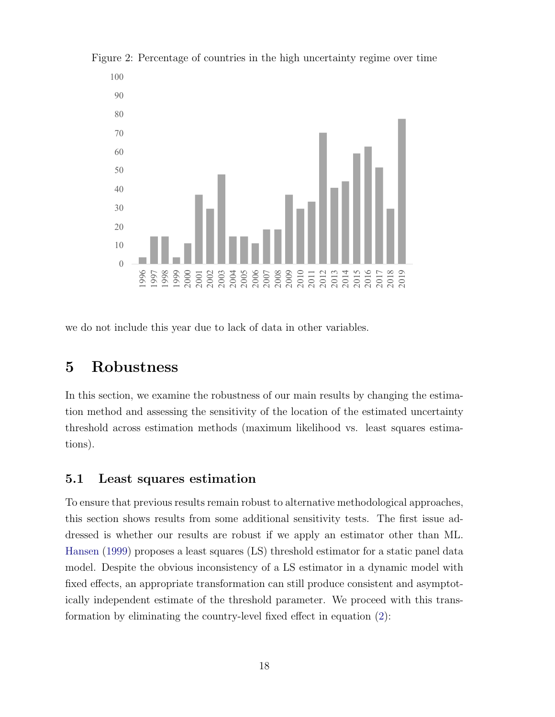

Figure 2: Percentage of countries in the high uncertainty regime over time

we do not include this year due to lack of data in other variables.

## 5 Robustness

In this section, we examine the robustness of our main results by changing the estimation method and assessing the sensitivity of the location of the estimated uncertainty threshold across estimation methods (maximum likelihood vs. least squares estimations).

#### 5.1 Least squares estimation

To ensure that previous results remain robust to alternative methodological approaches, this section shows results from some additional sensitivity tests. The first issue addressed is whether our results are robust if we apply an estimator other than ML. Hansen (1999) proposes a least squares (LS) threshold estimator for a static panel data model. Despite the obvious inconsistency of a LS estimator in a dynamic model with fixed effects, an appropriate transformation can still produce consistent and asymptotically independent estimate of the threshold parameter. We proceed with this transformation by eliminating the country-level fixed effect in equation (2):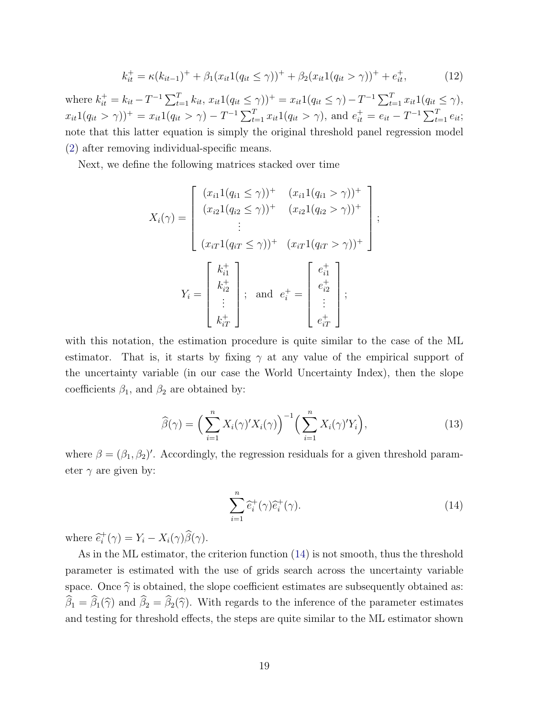$$
k_{it}^{+} = \kappa (k_{it-1})^{+} + \beta_1 (x_{it} 1(q_{it} \le \gamma))^{+} + \beta_2 (x_{it} 1(q_{it} > \gamma))^{+} + e_{it}^{+},
$$
\n(12)

where  $k_{it}^+ = k_{it} - T^{-1} \sum_{t=1}^T k_{it}, x_{it} 1(q_{it} \le \gamma)$ )<sup>+</sup> =  $x_{it} 1(q_{it} \le \gamma) - T^{-1} \sum_{t=1}^T x_{it} 1(q_{it} \le \gamma)$ ,  $x_{it}1(q_{it} > \gamma)$ <sup>+</sup> =  $x_{it}1(q_{it} > \gamma) - T^{-1} \sum_{t=1}^{T} x_{it}1(q_{it} > \gamma)$ , and  $e_{it}^{+} = e_{it} - T^{-1} \sum_{t=1}^{T} e_{it}$ ; note that this latter equation is simply the original threshold panel regression model (2) after removing individual-specific means.

Next, we define the following matrices stacked over time

$$
X_i(\gamma) = \begin{bmatrix} (x_{i1}1(q_{i1} \le \gamma))^+ & (x_{i1}1(q_{i1} > \gamma))^+ \\ (x_{i2}1(q_{i2} \le \gamma))^+ & (x_{i2}1(q_{i2} > \gamma))^+ \\ \vdots \\ (x_{iT}1(q_{iT} \le \gamma))^+ & (x_{iT}1(q_{iT} > \gamma))^+ \end{bmatrix};
$$
\n
$$
Y_i = \begin{bmatrix} k_{i1}^+ \\ k_{i2}^+ \\ \vdots \\ k_{iT}^+ \end{bmatrix}; \text{ and } e_i^+ = \begin{bmatrix} e_{i1}^+ \\ e_{i2}^+ \\ \vdots \\ e_{iT}^+ \end{bmatrix};
$$

with this notation, the estimation procedure is quite similar to the case of the ML estimator. That is, it starts by fixing  $\gamma$  at any value of the empirical support of the uncertainty variable (in our case the World Uncertainty Index), then the slope coefficients  $\beta_1$ , and  $\beta_2$  are obtained by:

$$
\widehat{\beta}(\gamma) = \left(\sum_{i=1}^{n} X_i(\gamma)' X_i(\gamma)\right)^{-1} \left(\sum_{i=1}^{n} X_i(\gamma)' Y_i\right),\tag{13}
$$

where  $\beta = (\beta_1, \beta_2)'$ . Accordingly, the regression residuals for a given threshold parameter  $\gamma$  are given by:

$$
\sum_{i=1}^{n} \hat{e}_i^+(\gamma)\hat{e}_i^+(\gamma).
$$
 (14)

where  $\hat{e}_i^+$  $i^+(\gamma) = Y_i - X_i(\gamma)\beta(\gamma).$ 

As in the ML estimator, the criterion function (14) is not smooth, thus the threshold parameter is estimated with the use of grids search across the uncertainty variable space. Once  $\widehat{\gamma}$  is obtained, the slope coefficient estimates are subsequently obtained as:  $\hat{\beta}_1 = \hat{\beta}_1(\hat{\gamma})$  and  $\hat{\beta}_2 = \hat{\beta}_2(\hat{\gamma})$ . With regards to the inference of the parameter estimates and testing for threshold effects, the steps are quite similar to the ML estimator shown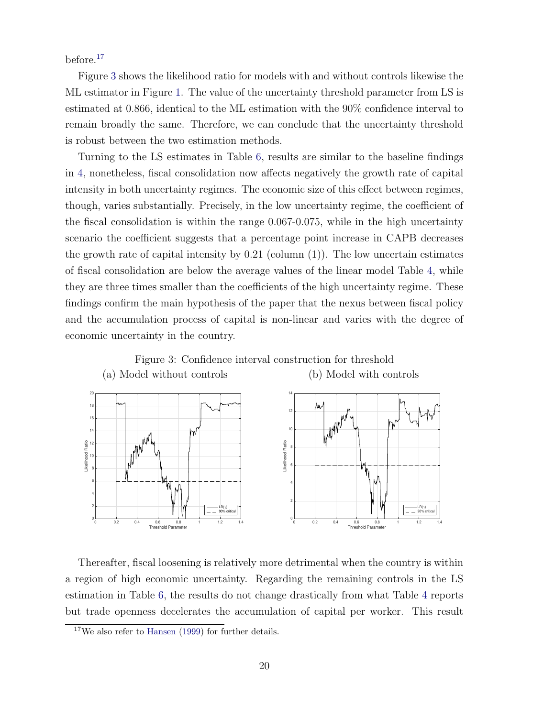before.<sup>17</sup>

Figure 3 shows the likelihood ratio for models with and without controls likewise the ML estimator in Figure 1. The value of the uncertainty threshold parameter from LS is estimated at 0.866, identical to the ML estimation with the 90% confidence interval to remain broadly the same. Therefore, we can conclude that the uncertainty threshold is robust between the two estimation methods.

Turning to the LS estimates in Table 6, results are similar to the baseline findings in 4, nonetheless, fiscal consolidation now affects negatively the growth rate of capital intensity in both uncertainty regimes. The economic size of this effect between regimes, though, varies substantially. Precisely, in the low uncertainty regime, the coefficient of the fiscal consolidation is within the range 0.067-0.075, while in the high uncertainty scenario the coefficient suggests that a percentage point increase in CAPB decreases the growth rate of capital intensity by  $0.21$  (column  $(1)$ ). The low uncertain estimates of fiscal consolidation are below the average values of the linear model Table 4, while they are three times smaller than the coefficients of the high uncertainty regime. These findings confirm the main hypothesis of the paper that the nexus between fiscal policy and the accumulation process of capital is non-linear and varies with the degree of economic uncertainty in the country.



Thereafter, fiscal loosening is relatively more detrimental when the country is within a region of high economic uncertainty. Regarding the remaining controls in the LS estimation in Table 6, the results do not change drastically from what Table 4 reports but trade openness decelerates the accumulation of capital per worker. This result

<sup>&</sup>lt;sup>17</sup>We also refer to Hansen (1999) for further details.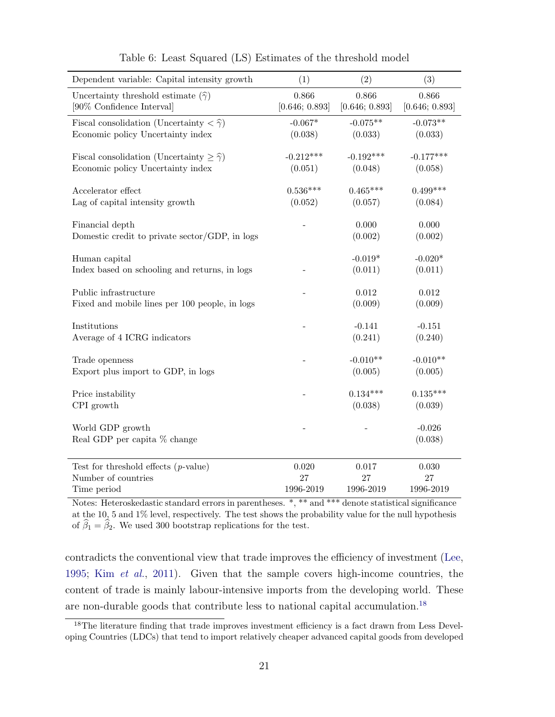| Dependent variable: Capital intensity growth                     | (1)            | (2)            | (3)                 |
|------------------------------------------------------------------|----------------|----------------|---------------------|
| Uncertainty threshold estimate $(\hat{\gamma})$                  | 0.866          | 0.866          | 0.866               |
| [90% Confidence Interval]                                        | [0.646; 0.893] | [0.646; 0.893] | [0.646; 0.893]      |
| Fiscal consolidation (Uncertainty $\langle \hat{\gamma} \rangle$ | $-0.067*$      | $-0.075**$     | $-0.073**$          |
| Economic policy Uncertainty index                                | (0.038)        | (0.033)        | (0.033)             |
| Fiscal consolidation (Uncertainty $\geq \hat{\gamma}$ )          | $-0.212***$    | $-0.192***$    | $-0.177***$         |
| Economic policy Uncertainty index                                | (0.051)        | (0.048)        | (0.058)             |
| Accelerator effect                                               | $0.536***$     | $0.465***$     | $0.499***$          |
| Lag of capital intensity growth                                  | (0.052)        | (0.057)        | (0.084)             |
| Financial depth                                                  |                | 0.000          | 0.000               |
| Domestic credit to private sector/GDP, in logs                   |                | (0.002)        | (0.002)             |
| Human capital                                                    |                | $-0.019^{*}$   | $-0.020*$           |
| Index based on schooling and returns, in logs                    |                | (0.011)        | (0.011)             |
| Public infrastructure                                            |                | 0.012          | 0.012               |
| Fixed and mobile lines per 100 people, in logs                   |                | (0.009)        | (0.009)             |
| Institutions                                                     |                | $-0.141$       | $-0.151$            |
| Average of 4 ICRG indicators                                     |                | (0.241)        | (0.240)             |
| Trade openness                                                   |                | $-0.010**$     | $-0.010**$          |
| Export plus import to GDP, in logs                               |                | (0.005)        | (0.005)             |
| Price instability                                                |                | $0.134***$     | $0.135***$          |
| CPI growth                                                       |                | (0.038)        | (0.039)             |
| World GDP growth<br>Real GDP per capita % change                 |                |                | $-0.026$<br>(0.038) |
| Test for threshold effects $(p$ -value)                          | 0.020          | 0.017          | $0.030\,$           |
| Number of countries                                              | 27             | 27             | 27                  |
| Time period                                                      | 1996-2019      | 1996-2019      | 1996-2019           |

Notes: Heteroskedastic standard errors in parentheses. \*, \*\* and \*\*\* denote statistical significance at the 10, 5 and 1% level, respectively. The test shows the probability value for the null hypothesis of  $\beta_1 = \beta_2$ . We used 300 bootstrap replications for the test.

contradicts the conventional view that trade improves the efficiency of investment (Lee, 1995; Kim et al., 2011). Given that the sample covers high-income countries, the content of trade is mainly labour-intensive imports from the developing world. These are non-durable goods that contribute less to national capital accumulation.<sup>18</sup>

<sup>&</sup>lt;sup>18</sup>The literature finding that trade improves investment efficiency is a fact drawn from Less Developing Countries (LDCs) that tend to import relatively cheaper advanced capital goods from developed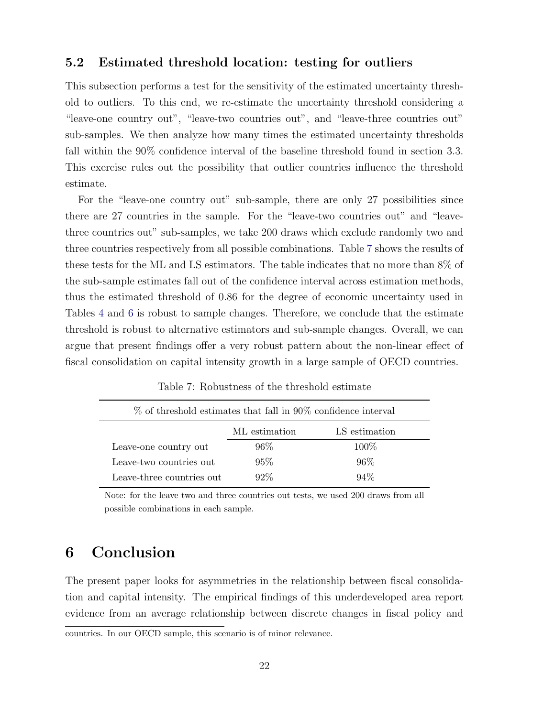#### 5.2 Estimated threshold location: testing for outliers

This subsection performs a test for the sensitivity of the estimated uncertainty threshold to outliers. To this end, we re-estimate the uncertainty threshold considering a "leave-one country out", "leave-two countries out", and "leave-three countries out" sub-samples. We then analyze how many times the estimated uncertainty thresholds fall within the 90% confidence interval of the baseline threshold found in section 3.3. This exercise rules out the possibility that outlier countries influence the threshold estimate.

For the "leave-one country out" sub-sample, there are only 27 possibilities since there are 27 countries in the sample. For the "leave-two countries out" and "leavethree countries out" sub-samples, we take 200 draws which exclude randomly two and three countries respectively from all possible combinations. Table 7 shows the results of these tests for the ML and LS estimators. The table indicates that no more than 8% of the sub-sample estimates fall out of the confidence interval across estimation methods, thus the estimated threshold of 0.86 for the degree of economic uncertainty used in Tables 4 and 6 is robust to sample changes. Therefore, we conclude that the estimate threshold is robust to alternative estimators and sub-sample changes. Overall, we can argue that present findings offer a very robust pattern about the non-linear effect of fiscal consolidation on capital intensity growth in a large sample of OECD countries.

| $%$ of threshold estimates that fall in 90% confidence interval |               |               |  |  |
|-----------------------------------------------------------------|---------------|---------------|--|--|
|                                                                 | ML estimation | LS estimation |  |  |
| Leave-one country out                                           | $96\%$        | 100\%         |  |  |
| Leave-two countries out                                         | $95\%$        | $96\%$        |  |  |
| Leave-three countries out                                       | $92\%$        | $94\%$        |  |  |

Table 7: Robustness of the threshold estimate

Note: for the leave two and three countries out tests, we used 200 draws from all possible combinations in each sample.

## 6 Conclusion

The present paper looks for asymmetries in the relationship between fiscal consolidation and capital intensity. The empirical findings of this underdeveloped area report evidence from an average relationship between discrete changes in fiscal policy and

countries. In our OECD sample, this scenario is of minor relevance.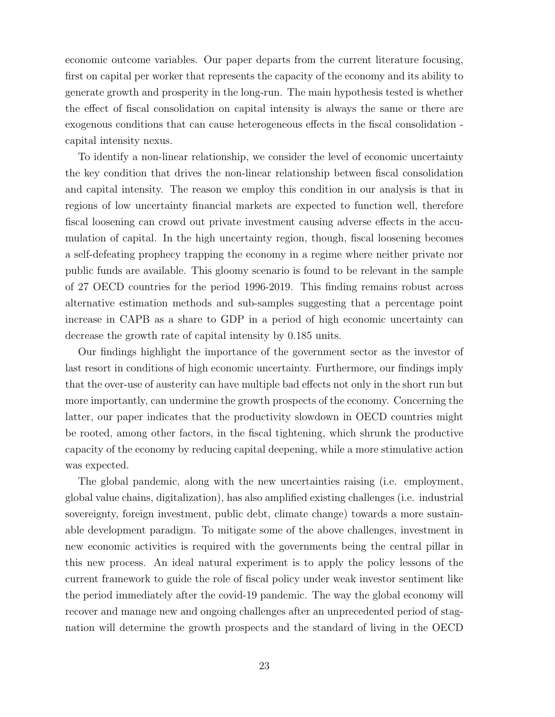economic outcome variables. Our paper departs from the current literature focusing, first on capital per worker that represents the capacity of the economy and its ability to generate growth and prosperity in the long-run. The main hypothesis tested is whether the effect of fiscal consolidation on capital intensity is always the same or there are exogenous conditions that can cause heterogeneous effects in the fiscal consolidation capital intensity nexus.

To identify a non-linear relationship, we consider the level of economic uncertainty the key condition that drives the non-linear relationship between fiscal consolidation and capital intensity. The reason we employ this condition in our analysis is that in regions of low uncertainty financial markets are expected to function well, therefore fiscal loosening can crowd out private investment causing adverse effects in the accumulation of capital. In the high uncertainty region, though, fiscal loosening becomes a self-defeating prophecy trapping the economy in a regime where neither private nor public funds are available. This gloomy scenario is found to be relevant in the sample of 27 OECD countries for the period 1996-2019. This finding remains robust across alternative estimation methods and sub-samples suggesting that a percentage point increase in CAPB as a share to GDP in a period of high economic uncertainty can decrease the growth rate of capital intensity by 0.185 units.

Our findings highlight the importance of the government sector as the investor of last resort in conditions of high economic uncertainty. Furthermore, our findings imply that the over-use of austerity can have multiple bad effects not only in the short run but more importantly, can undermine the growth prospects of the economy. Concerning the latter, our paper indicates that the productivity slowdown in OECD countries might be rooted, among other factors, in the fiscal tightening, which shrunk the productive capacity of the economy by reducing capital deepening, while a more stimulative action was expected.

The global pandemic, along with the new uncertainties raising (i.e. employment, global value chains, digitalization), has also amplified existing challenges (i.e. industrial sovereignty, foreign investment, public debt, climate change) towards a more sustainable development paradigm. To mitigate some of the above challenges, investment in new economic activities is required with the governments being the central pillar in this new process. An ideal natural experiment is to apply the policy lessons of the current framework to guide the role of fiscal policy under weak investor sentiment like the period immediately after the covid-19 pandemic. The way the global economy will recover and manage new and ongoing challenges after an unprecedented period of stagnation will determine the growth prospects and the standard of living in the OECD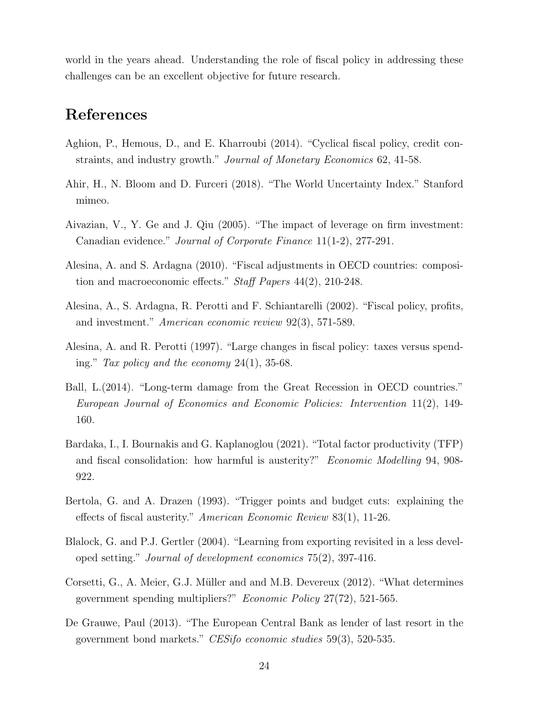world in the years ahead. Understanding the role of fiscal policy in addressing these challenges can be an excellent objective for future research.

## References

- Aghion, P., Hemous, D., and E. Kharroubi (2014). "Cyclical fiscal policy, credit constraints, and industry growth." Journal of Monetary Economics 62, 41-58.
- Ahir, H., N. Bloom and D. Furceri (2018). "The World Uncertainty Index." Stanford mimeo.
- Aivazian, V., Y. Ge and J. Qiu (2005). "The impact of leverage on firm investment: Canadian evidence." Journal of Corporate Finance 11(1-2), 277-291.
- Alesina, A. and S. Ardagna (2010). "Fiscal adjustments in OECD countries: composition and macroeconomic effects." Staff Papers 44(2), 210-248.
- Alesina, A., S. Ardagna, R. Perotti and F. Schiantarelli (2002). "Fiscal policy, profits, and investment." American economic review 92(3), 571-589.
- Alesina, A. and R. Perotti (1997). "Large changes in fiscal policy: taxes versus spending." Tax policy and the economy  $24(1)$ , 35-68.
- Ball, L.(2014). "Long-term damage from the Great Recession in OECD countries." European Journal of Economics and Economic Policies: Intervention 11(2), 149- 160.
- Bardaka, I., I. Bournakis and G. Kaplanoglou (2021). "Total factor productivity (TFP) and fiscal consolidation: how harmful is austerity?" Economic Modelling 94, 908- 922.
- Bertola, G. and A. Drazen (1993). "Trigger points and budget cuts: explaining the effects of fiscal austerity." American Economic Review 83(1), 11-26.
- Blalock, G. and P.J. Gertler (2004). "Learning from exporting revisited in a less developed setting." Journal of development economics 75(2), 397-416.
- Corsetti, G., A. Meier, G.J. Müller and and M.B. Devereux (2012). "What determines government spending multipliers?" Economic Policy 27(72), 521-565.
- De Grauwe, Paul (2013). "The European Central Bank as lender of last resort in the government bond markets." CESifo economic studies 59(3), 520-535.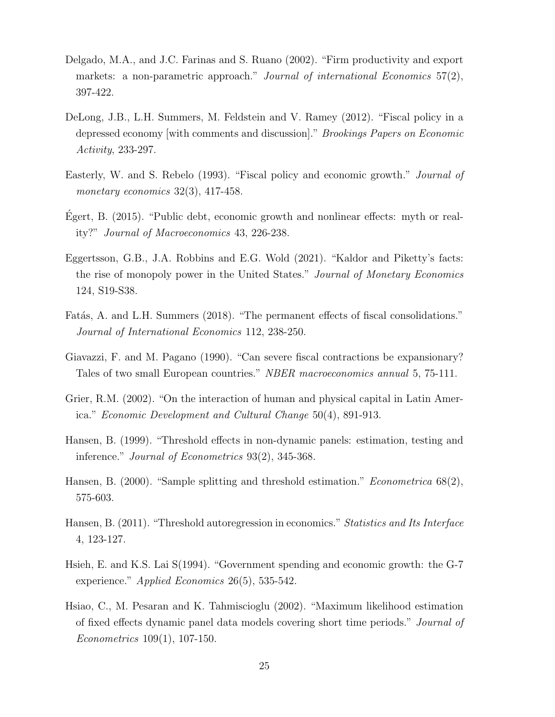- Delgado, M.A., and J.C. Farinas and S. Ruano (2002). "Firm productivity and export markets: a non-parametric approach." Journal of international Economics 57(2), 397-422.
- DeLong, J.B., L.H. Summers, M. Feldstein and V. Ramey (2012). "Fiscal policy in a depressed economy [with comments and discussion]." Brookings Papers on Economic Activity, 233-297.
- Easterly, W. and S. Rebelo (1993). "Fiscal policy and economic growth." Journal of monetary economics  $32(3)$ ,  $417-458$ .
- Egert, B.  $(2015)$ . "Public debt, economic growth and nonlinear effects: myth or reality?" Journal of Macroeconomics 43, 226-238.
- Eggertsson, G.B., J.A. Robbins and E.G. Wold (2021). "Kaldor and Piketty's facts: the rise of monopoly power in the United States." Journal of Monetary Economics 124, S19-S38.
- Fatás, A. and L.H. Summers (2018). "The permanent effects of fiscal consolidations." Journal of International Economics 112, 238-250.
- Giavazzi, F. and M. Pagano (1990). "Can severe fiscal contractions be expansionary? Tales of two small European countries." NBER macroeconomics annual 5, 75-111.
- Grier, R.M. (2002). "On the interaction of human and physical capital in Latin America." Economic Development and Cultural Change 50(4), 891-913.
- Hansen, B. (1999). "Threshold effects in non-dynamic panels: estimation, testing and inference." Journal of Econometrics 93(2), 345-368.
- Hansen, B. (2000). "Sample splitting and threshold estimation." *Econometrica* 68(2), 575-603.
- Hansen, B. (2011). "Threshold autoregression in economics." Statistics and Its Interface 4, 123-127.
- Hsieh, E. and K.S. Lai S(1994). "Government spending and economic growth: the G-7 experience." Applied Economics 26(5), 535-542.
- Hsiao, C., M. Pesaran and K. Tahmiscioglu (2002). "Maximum likelihood estimation of fixed effects dynamic panel data models covering short time periods." Journal of Econometrics 109(1), 107-150.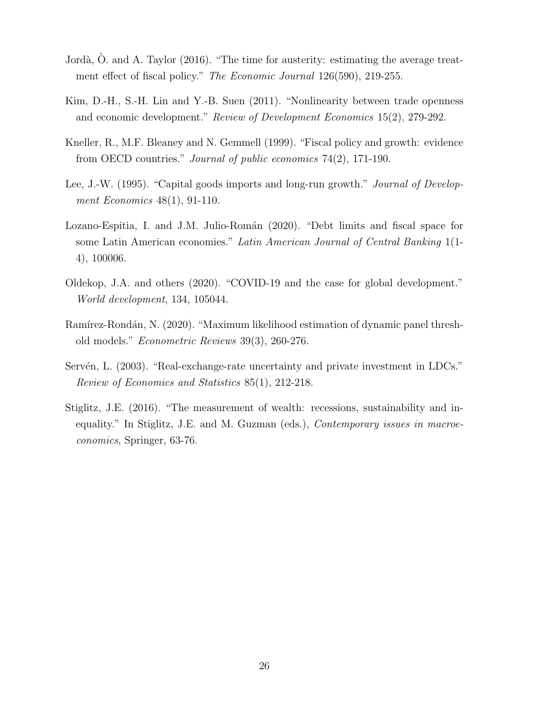- Jordà,  $\dot{O}$ . and A. Taylor (2016). "The time for austerity: estimating the average treatment effect of fiscal policy." The Economic Journal 126(590), 219-255.
- Kim, D.-H., S.-H. Lin and Y.-B. Suen (2011). "Nonlinearity between trade openness and economic development." Review of Development Economics 15(2), 279-292.
- Kneller, R., M.F. Bleaney and N. Gemmell (1999). "Fiscal policy and growth: evidence from OECD countries." Journal of public economics 74(2), 171-190.
- Lee, J.-W. (1995). "Capital goods imports and long-run growth." *Journal of Develop*ment Economics 48(1), 91-110.
- Lozano-Espitia, I. and J.M. Julio-Román (2020). "Debt limits and fiscal space for some Latin American economies." Latin American Journal of Central Banking 1(1- 4), 100006.
- Oldekop, J.A. and others (2020). "COVID-19 and the case for global development." World development, 134, 105044.
- Ramírez-Rondán, N. (2020). "Maximum likelihood estimation of dynamic panel threshold models." Econometric Reviews 39(3), 260-276.
- Servén, L. (2003). "Real-exchange-rate uncertainty and private investment in LDCs." Review of Economics and Statistics 85(1), 212-218.
- Stiglitz, J.E. (2016). "The measurement of wealth: recessions, sustainability and inequality." In Stiglitz, J.E. and M. Guzman (eds.), Contemporary issues in macroeconomics, Springer, 63-76.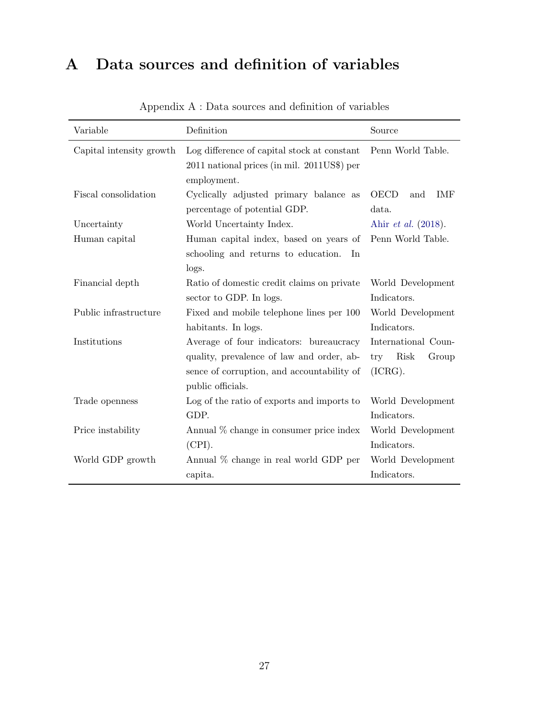## A Data sources and definition of variables

| Variable                 | Definition                                                                                                                                              | Source                                                 |
|--------------------------|---------------------------------------------------------------------------------------------------------------------------------------------------------|--------------------------------------------------------|
| Capital intensity growth | Log difference of capital stock at constant<br>2011 national prices (in mil. 2011US\$) per<br>employment.                                               | Penn World Table.                                      |
| Fiscal consolidation     | Cyclically adjusted primary balance as<br>percentage of potential GDP.                                                                                  | OECD<br>IMF<br>and<br>data.                            |
| Uncertainty              | World Uncertainty Index.                                                                                                                                | Ahir <i>et al.</i> (2018).                             |
| Human capital            | Human capital index, based on years of<br>schooling and returns to education.<br>In<br>logs.                                                            | Penn World Table.                                      |
| Financial depth          | Ratio of domestic credit claims on private<br>sector to GDP. In logs.                                                                                   | World Development<br>Indicators.                       |
| Public infrastructure    | Fixed and mobile telephone lines per 100<br>habitants. In logs.                                                                                         | World Development<br>Indicators.                       |
| Institutions             | Average of four indicators: bureaucracy<br>quality, prevalence of law and order, ab-<br>sence of corruption, and accountability of<br>public officials. | International Coun-<br>Risk<br>Group<br>try<br>(ICRG). |
| Trade openness           | Log of the ratio of exports and imports to<br>GDP.                                                                                                      | World Development<br>Indicators.                       |
| Price instability        | Annual % change in consumer price index<br>(CPI).                                                                                                       | World Development<br>Indicators.                       |
| World GDP growth         | Annual % change in real world GDP per<br>capita.                                                                                                        | World Development<br>Indicators.                       |

Appendix A : Data sources and definition of variables